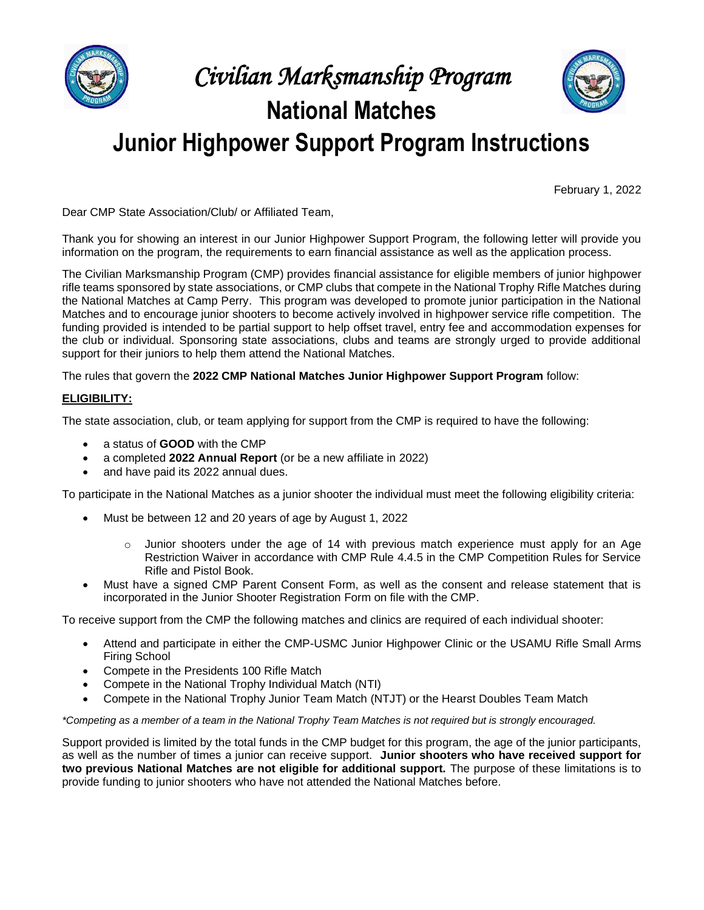

# *Civilian Marksmanship Program* **National Matches**



**Junior Highpower Support Program Instructions**

February 1, 2022

Dear CMP State Association/Club/ or Affiliated Team,

Thank you for showing an interest in our Junior Highpower Support Program, the following letter will provide you information on the program, the requirements to earn financial assistance as well as the application process.

The Civilian Marksmanship Program (CMP) provides financial assistance for eligible members of junior highpower rifle teams sponsored by state associations, or CMP clubs that compete in the National Trophy Rifle Matches during the National Matches at Camp Perry. This program was developed to promote junior participation in the National Matches and to encourage junior shooters to become actively involved in highpower service rifle competition. The funding provided is intended to be partial support to help offset travel, entry fee and accommodation expenses for the club or individual. Sponsoring state associations, clubs and teams are strongly urged to provide additional support for their juniors to help them attend the National Matches.

The rules that govern the **2022 CMP National Matches Junior Highpower Support Program** follow:

## **ELIGIBILITY:**

The state association, club, or team applying for support from the CMP is required to have the following:

- a status of **GOOD** with the CMP
- a completed **2022 Annual Report** (or be a new affiliate in 2022)
- and have paid its 2022 annual dues.

To participate in the National Matches as a junior shooter the individual must meet the following eligibility criteria:

- Must be between 12 and 20 years of age by August 1, 2022
	- $\circ$  Junior shooters under the age of 14 with previous match experience must apply for an Age Restriction Waiver in accordance with CMP Rule 4.4.5 in the CMP Competition Rules for Service Rifle and Pistol Book.
- Must have a signed CMP Parent Consent Form, as well as the consent and release statement that is incorporated in the Junior Shooter Registration Form on file with the CMP.

To receive support from the CMP the following matches and clinics are required of each individual shooter:

- Attend and participate in either the CMP-USMC Junior Highpower Clinic or the USAMU Rifle Small Arms Firing School
- Compete in the Presidents 100 Rifle Match
- Compete in the National Trophy Individual Match (NTI)
- Compete in the National Trophy Junior Team Match (NTJT) or the Hearst Doubles Team Match

*\*Competing as a member of a team in the National Trophy Team Matches is not required but is strongly encouraged.*

Support provided is limited by the total funds in the CMP budget for this program, the age of the junior participants, as well as the number of times a junior can receive support. **Junior shooters who have received support for two previous National Matches are not eligible for additional support.** The purpose of these limitations is to provide funding to junior shooters who have not attended the National Matches before.